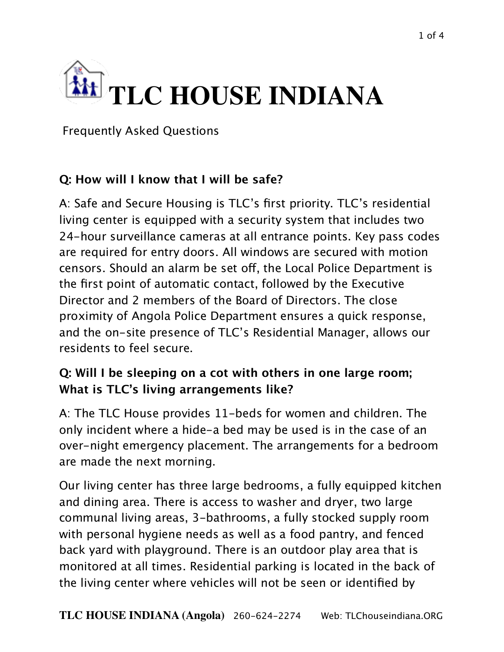

Frequently Asked Questions

## **Q: How will I know that I will be safe?**

A: Safe and Secure Housing is TLC's first priority. TLC's residential living center is equipped with a security system that includes two 24-hour surveillance cameras at all entrance points. Key pass codes are required for entry doors. All windows are secured with motion censors. Should an alarm be set off, the Local Police Department is the first point of automatic contact, followed by the Executive Director and 2 members of the Board of Directors. The close proximity of Angola Police Department ensures a quick response, and the on-site presence of TLC's Residential Manager, allows our residents to feel secure.

## **Q: Will I be sleeping on a cot with others in one large room; What is TLC's living arrangements like?**

A: The TLC House provides 11-beds for women and children. The only incident where a hide-a bed may be used is in the case of an over-night emergency placement. The arrangements for a bedroom are made the next morning.

Our living center has three large bedrooms, a fully equipped kitchen and dining area. There is access to washer and dryer, two large communal living areas, 3-bathrooms, a fully stocked supply room with personal hygiene needs as well as a food pantry, and fenced back yard with playground. There is an outdoor play area that is monitored at all times. Residential parking is located in the back of the living center where vehicles will not be seen or identified by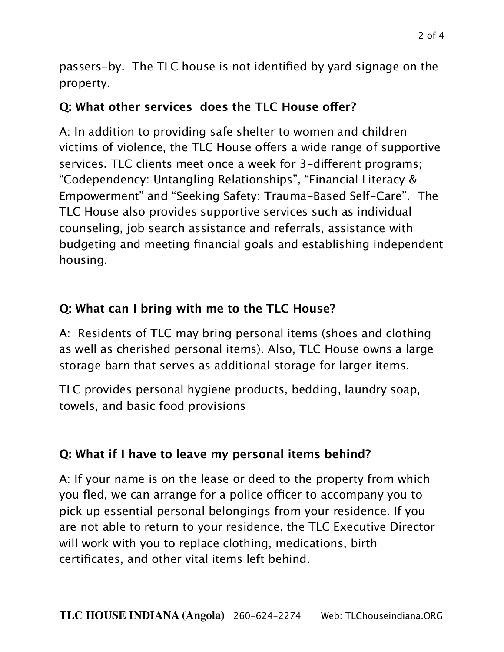passers-by. The TLC house is not identified by yard signage on the property.

## **Q: What other services does the TLC House ofer?**

A: In addition to providing safe shelter to women and children victims of violence, the TLC House offers a wide range of supportive services. TLC clients meet once a week for 3-diferent programs; "Codependency: Untangling Relationships", "Financial Literacy & Empowerment" and "Seeking Safety: Trauma-Based Self-Care". The TLC House also provides supportive services such as individual counseling, job search assistance and referrals, assistance with budgeting and meeting financial goals and establishing independent housing.

## **Q: What can I bring with me to the TLC House?**

A: Residents of TLC may bring personal items (shoes and clothing as well as cherished personal items). Also, TLC House owns a large storage barn that serves as additional storage for larger items.

TLC provides personal hygiene products, bedding, laundry soap, towels, and basic food provisions

#### **Q: What if I have to leave my personal items behind?**

A: If your name is on the lease or deed to the property from which you fled, we can arrange for a police officer to accompany you to pick up essential personal belongings from your residence. If you are not able to return to your residence, the TLC Executive Director will work with you to replace clothing, medications, birth certificates, and other vital items left behind.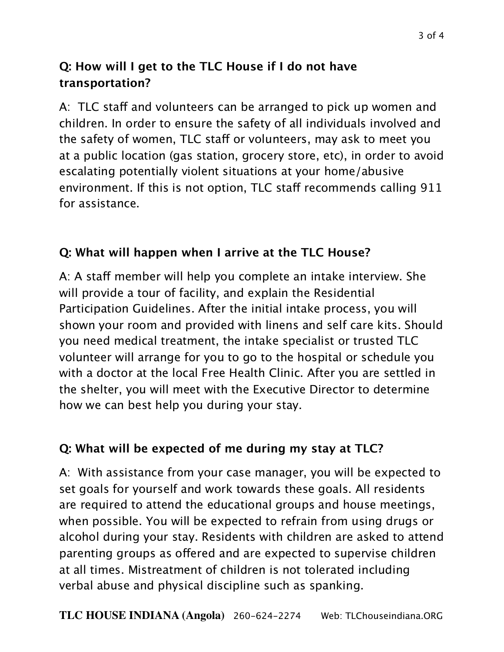# **Q: How will I get to the TLC House if I do not have transportation?**

A: TLC staff and volunteers can be arranged to pick up women and children. In order to ensure the safety of all individuals involved and the safety of women, TLC staff or volunteers, may ask to meet you at a public location (gas station, grocery store, etc), in order to avoid escalating potentially violent situations at your home/abusive environment. If this is not option, TLC staff recommends calling 911 for assistance.

# **Q: What will happen when I arrive at the TLC House?**

A: A staff member will help you complete an intake interview. She will provide a tour of facility, and explain the Residential Participation Guidelines. After the initial intake process, you will shown your room and provided with linens and self care kits. Should you need medical treatment, the intake specialist or trusted TLC volunteer will arrange for you to go to the hospital or schedule you with a doctor at the local Free Health Clinic. After you are settled in the shelter, you will meet with the Executive Director to determine how we can best help you during your stay.

## **Q: What will be expected of me during my stay at TLC?**

A: With assistance from your case manager, you will be expected to set goals for yourself and work towards these goals. All residents are required to attend the educational groups and house meetings, when possible. You will be expected to refrain from using drugs or alcohol during your stay. Residents with children are asked to attend parenting groups as offered and are expected to supervise children at all times. Mistreatment of children is not tolerated including verbal abuse and physical discipline such as spanking.